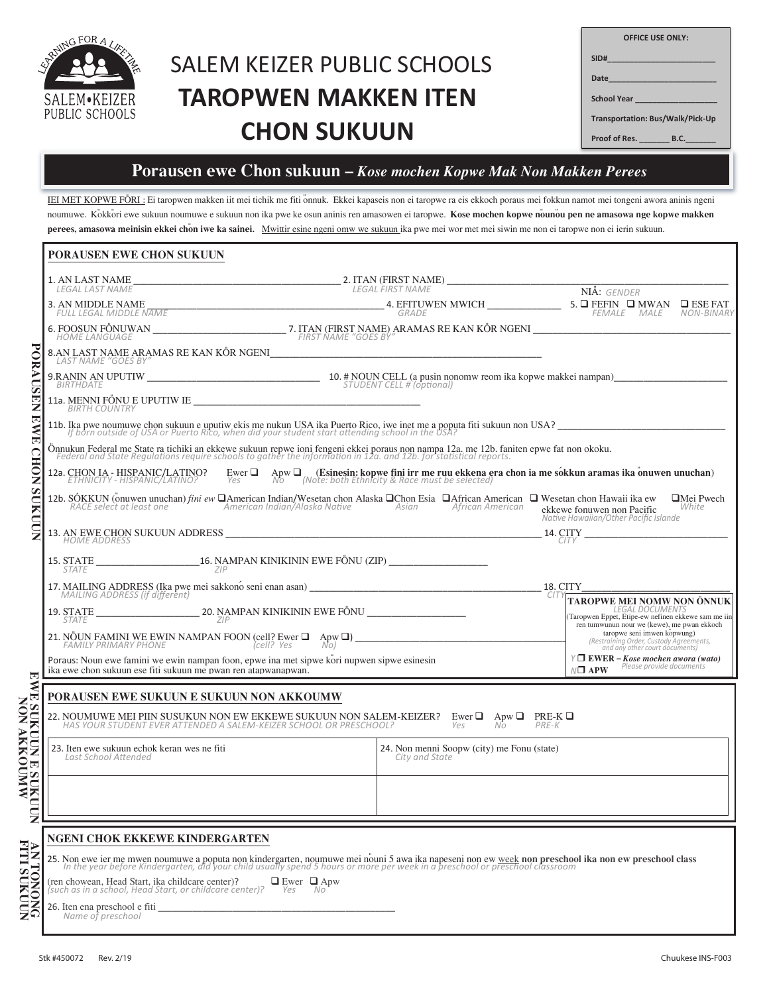

# **SALEM KEIZER PUBLIC SCHOOLS TAROPWEN MAKKEN ITEN CHON SUKUUN**

| <b>OFFICE USE ONLY:</b>                |  |
|----------------------------------------|--|
| SID#__________________________         |  |
|                                        |  |
|                                        |  |
| Transportation: Bus/Walk/Pick-Up       |  |
| Proof of Res. __________ B.C. ________ |  |

### Porausen ewe Chon sukuun - Kose mochen Kopwe Mak Non Makken Perees

IEI MET KOPWE FÖRI: Ei taropwen makken iit mei tichik me fiti onnuk. Ekkei kapaseis non ei taropwe ra eis ekkoch poraus mei fokkun namot mei tongeni awora aninis ngeni noumuwe. Kokkori ewe sukuun noumuwe e sukuun non ika pwe ke osun aninis ren amasowen ei taropwe. Kose mochen kopwe nounou pen ne amasowa nge kopwe makken perees, amasowa meinisin ekkei chon iwe ka sainei. Mwittir esine ngeni omw we sukuun ika pwe mei wor met mei siwin me non ei taropwe non ei ierin sukuun.

| PORAUSEN EWE CHON SUKUUN                     |                                                                                                                                                                                                                                                                                                                                                                                                                            |                                                                                                                                                         |                        |  |  |  |  |
|----------------------------------------------|----------------------------------------------------------------------------------------------------------------------------------------------------------------------------------------------------------------------------------------------------------------------------------------------------------------------------------------------------------------------------------------------------------------------------|---------------------------------------------------------------------------------------------------------------------------------------------------------|------------------------|--|--|--|--|
|                                              |                                                                                                                                                                                                                                                                                                                                                                                                                            |                                                                                                                                                         |                        |  |  |  |  |
|                                              | $\begin{tabular}{c c c c c} 3. AN MIDDE NAME & \textbf{AME} & \textbf{A} & \textbf{B} & \textbf{B} & \textbf{B} & \textbf{B} & \textbf{B} & \textbf{B} & \textbf{B} & \textbf{B} & \textbf{B} & \textbf{B} & \textbf{B} & \textbf{B} & \textbf{B} & \textbf{B} & \textbf{B} & \textbf{B} & \textbf{B} & \textbf{B} & \textbf{B} & \textbf{B} & \textbf{B} & \textbf{B} & \textbf{B} & \textbf{B} & \textbf{B} & \textbf{B$ |                                                                                                                                                         | FEMALE MALE NON-BINARY |  |  |  |  |
|                                              |                                                                                                                                                                                                                                                                                                                                                                                                                            |                                                                                                                                                         |                        |  |  |  |  |
|                                              | LAST NAME "GOES BY"                                                                                                                                                                                                                                                                                                                                                                                                        |                                                                                                                                                         |                        |  |  |  |  |
| PORAUSE                                      |                                                                                                                                                                                                                                                                                                                                                                                                                            |                                                                                                                                                         |                        |  |  |  |  |
| Z                                            | BIRTH COUNTRY                                                                                                                                                                                                                                                                                                                                                                                                              |                                                                                                                                                         |                        |  |  |  |  |
| 医<br><b>NE</b>                               | 11b. Ika pwe noumuwe chon sukuun e uputiw ekis me nukun USA ika Puerto Rico, iwe inet me a poputa fiti sukuun non USA?<br>If born outside of USA or Puerto Rico, when did your student start attending school in the USA?                                                                                                                                                                                                  |                                                                                                                                                         |                        |  |  |  |  |
|                                              | Önnukun Federal me State ra tichiki an ekkewe sukuun repwe ioni fengeni ekkei poraus non nampa 12a. me 12b. faniten epwe fat non okoku.<br>Federal and State Regulations require schools to gather the information in 12a. and 12                                                                                                                                                                                          |                                                                                                                                                         |                        |  |  |  |  |
| <b>CHON</b>                                  | 12a. CHON IA - HISPANIC/LATINO? Ewer $\Box$ Apw $\Box$ (Esinesin: kopwe fini irr me ruu ekkena era chon ia me sókkun aramas ika onuwen unuchan)<br>ETHNICITY - HISPANIC/LATINO? Yes Note: both Ethnicity & Race must be selected)                                                                                                                                                                                          |                                                                                                                                                         |                        |  |  |  |  |
| <b>SURUDN</b>                                | 12b. SÓKKUN (önuwen unuchan) <i>fini ew</i> $\Box$ American Indian/Wesetan chon Alaska $\Box$ Chon Esia $\Box$ African American $\Box$ Wesetan chon Hawaii ika ew American Indian/Alaska Native Asian African American ekkewe fonuwen non Paci<br>$\Box$ Mei Pwech<br>White<br>Native Hawaiian/Other Pacific Islande                                                                                                       |                                                                                                                                                         |                        |  |  |  |  |
|                                              |                                                                                                                                                                                                                                                                                                                                                                                                                            |                                                                                                                                                         |                        |  |  |  |  |
|                                              |                                                                                                                                                                                                                                                                                                                                                                                                                            |                                                                                                                                                         |                        |  |  |  |  |
|                                              |                                                                                                                                                                                                                                                                                                                                                                                                                            |                                                                                                                                                         |                        |  |  |  |  |
|                                              |                                                                                                                                                                                                                                                                                                                                                                                                                            | TAROPWE MEI NOMW NON ÖNNUK<br>LEGAL DOCUMENTS<br>(Taropwen Eppet, Etipe-ew nefinen ekkewe sam me iin                                                    |                        |  |  |  |  |
|                                              |                                                                                                                                                                                                                                                                                                                                                                                                                            | ren tumwunun nour we (kewe), me pwan ekkoch<br>taropwe seni imwen kopwung)<br>(Restraining Order, Custody Agreements,<br>and any other court documents) |                        |  |  |  |  |
| 固                                            | Poraus: Noun ewe famini we ewin nampan foon, epwe ina met sipwe kori nupwen sipwe esinesin<br>ika ewe chon sukuun ese fiti sukuun me pwan ren atapwanapwan.                                                                                                                                                                                                                                                                | $Y \Box$ EWER - Kose mochen awora (wato)<br>Please provide documents<br>$N\Box$ APW                                                                     |                        |  |  |  |  |
|                                              | PORAUSEN EWE SUKUUN E SUKUUN NON AKKOUMW                                                                                                                                                                                                                                                                                                                                                                                   |                                                                                                                                                         |                        |  |  |  |  |
| <b>MNONA MON<br/>MNONA MON<br/>MNONA MON</b> | 22. NOUMUWE MEI PIIN SUSUKUN NON EW EKKEWE SUKUUN NON SALEM-KEIZER? Ewer $\Box$ Apw $\Box$ PRE-K $\Box$ HAS YOUR STUDENT EVER ATTENDED A SALEM-KEIZER SCHOOL OR PRESCHOOL? Yes No PRE-K                                                                                                                                                                                                                                    |                                                                                                                                                         |                        |  |  |  |  |
|                                              | 23. Iten ewe sukuun echok keran wes ne fiti<br>Last School Attended                                                                                                                                                                                                                                                                                                                                                        | 24. Non menni Soopw (city) me Fonu (state)<br>City and State                                                                                            |                        |  |  |  |  |
|                                              |                                                                                                                                                                                                                                                                                                                                                                                                                            |                                                                                                                                                         |                        |  |  |  |  |
| $\Xi$                                        |                                                                                                                                                                                                                                                                                                                                                                                                                            |                                                                                                                                                         |                        |  |  |  |  |
|                                              | <b>NGENI CHOK EKKEWE KINDERGARTEN</b>                                                                                                                                                                                                                                                                                                                                                                                      |                                                                                                                                                         |                        |  |  |  |  |
|                                              | 25. Non ewe ier me mwen noumuwe a poputa non kindergarten, noumuwe mei nouni 5 awa ika napeseni non ew <u>week</u> non preschool ika non ew preschool class In the year before Kindergarten, did your child usually spend 5 hours o                                                                                                                                                                                        |                                                                                                                                                         |                        |  |  |  |  |
| <b>AN TONONG</b><br>FITI SUKUUN              | (ren chowean, Head Start, ika childcare center)?<br>$\Box$ Ewer $\Box$ Apw<br>such as in a school. Head Start, or childcare center)?<br>Yes<br>- No                                                                                                                                                                                                                                                                        |                                                                                                                                                         |                        |  |  |  |  |
|                                              | 26. Iten ena preschool e fiti<br>Name of preschool                                                                                                                                                                                                                                                                                                                                                                         |                                                                                                                                                         |                        |  |  |  |  |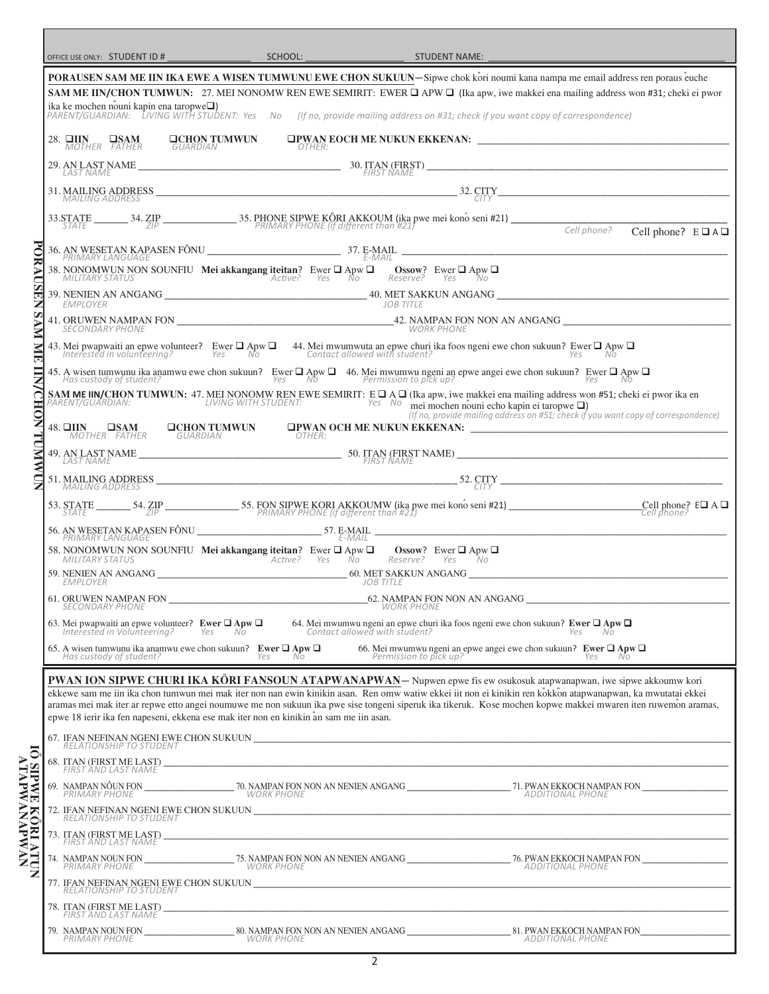| OFFICE USE ONLY: STUDENT ID # SCHOOL: SCHOOL: SCHOOL: STUDENT NAME:                                                                      |            |                                                      |                                                                                                                                                                                                                                                                                                                                |                                   |
|------------------------------------------------------------------------------------------------------------------------------------------|------------|------------------------------------------------------|--------------------------------------------------------------------------------------------------------------------------------------------------------------------------------------------------------------------------------------------------------------------------------------------------------------------------------|-----------------------------------|
|                                                                                                                                          |            |                                                      | PORAUSEN SAM ME IIN IKA EWE A WISEN TUMWUNU EWE CHON SUKUUN-Sipwe chok kori noumi kana nampa me email address ren poraus euche                                                                                                                                                                                                 |                                   |
|                                                                                                                                          |            |                                                      | SAM ME IIN/CHON TUMWUN: 27. MEI NONOMW REN EWE SEMIRIT: EWER Q APW Q (Ika apw, iwe makkei ena mailing address won #31; cheki ei pwor<br>ika ke mochen nouni kapin ena taropwe <b>□</b> )<br>PARENT/GUARDIAN: LIVING WITH STUDENT: Yes No (If no, provide mailing address on #31; check if you want copy of correspondence)     |                                   |
|                                                                                                                                          |            |                                                      | 28. THIN USAM UCHON TUMWUN UPWAN EOCH ME NUKUN EKKENAN: NOTHER: 28. THER:                                                                                                                                                                                                                                                      |                                   |
|                                                                                                                                          |            |                                                      |                                                                                                                                                                                                                                                                                                                                |                                   |
|                                                                                                                                          |            |                                                      | 31. MAILING ADDRESS $\frac{32. \text{CITY}}{CITY}$                                                                                                                                                                                                                                                                             |                                   |
| MAILING ADDRESS                                                                                                                          |            |                                                      |                                                                                                                                                                                                                                                                                                                                |                                   |
|                                                                                                                                          |            |                                                      | Cell phone?                                                                                                                                                                                                                                                                                                                    | Cell phone? $E \square A \square$ |
|                                                                                                                                          |            |                                                      |                                                                                                                                                                                                                                                                                                                                |                                   |
| 38. NONOMWUN NON SOUNFIU Mei akkangang iteitan? Ewer $\Box$ Apw $\Box$ Ossow? Ewer $\Box$ Apw $\Box$ Mullitary status<br>MILITARY STATUS |            |                                                      |                                                                                                                                                                                                                                                                                                                                |                                   |
| EMPLOYER                                                                                                                                 |            | JOB TITLE                                            |                                                                                                                                                                                                                                                                                                                                |                                   |
|                                                                                                                                          |            |                                                      |                                                                                                                                                                                                                                                                                                                                |                                   |
|                                                                                                                                          |            |                                                      | 43. Mei pwapwaiti an epwe volunteer? Ewer $\Box$ Apw $\Box$ 44. Mei mwumwuta an epwe churi ika foos ngeni ewe chon sukuun? Ewer $\Box$ Apw $\Box$ Interested in volunteering? Yes No                                                                                                                                           |                                   |
|                                                                                                                                          |            |                                                      |                                                                                                                                                                                                                                                                                                                                |                                   |
|                                                                                                                                          |            |                                                      | 45. A wisen tumwunu ika anamwu ewe chon sukuun? Ewer $\Box$ Apw $\Box$<br>Has custody of student?<br>SAM ME INORON TUMWUN: 47. MEI NONOMW REN EWE SEMIRIT: E $\Box$ A $\Box$ (Ika apw, iwe makkei ena mailing address won #51; cheki ei p<br>(If no, provide mailing address on #51; check if you want copy of correspondence) |                                   |
|                                                                                                                                          |            |                                                      | 48. CHIN USAM DCHON TUMWUN OPWAN OCH ME NUKUN EKKENAN: MOTHER FATHER SUARDIAN                                                                                                                                                                                                                                                  |                                   |
|                                                                                                                                          |            |                                                      | 49. AN LAST NAME $\overbrace{\begin{array}{c} \text{LAST NAME} \\ \text{LAST NAME} \end{array}}^{50}$ $\overbrace{\begin{array}{c} \text{STAN (FIRST NAME)} \\ \text{FIRST NAME} \end{array}}^{50}$                                                                                                                            |                                   |
|                                                                                                                                          |            |                                                      |                                                                                                                                                                                                                                                                                                                                |                                   |
|                                                                                                                                          |            |                                                      | 53. STATE 54. ZIP 55. FON SIPWE KORI AKKOUMW (ika pwe mei kono seni #21) Cell phone? EQ A Q                                                                                                                                                                                                                                    |                                   |
|                                                                                                                                          |            |                                                      |                                                                                                                                                                                                                                                                                                                                |                                   |
| 58. NONOMWUN NON SOUNFIU Mei akkangang iteitan? Ewer $\Box$ Apw $\Box$ Ossow? Ewer $\Box$ Apw $\Box$ MILITARY STATUS Active? Yes No      |            |                                                      |                                                                                                                                                                                                                                                                                                                                |                                   |
| EMPLOYER                                                                                                                                 |            | JOB TITLE                                            |                                                                                                                                                                                                                                                                                                                                |                                   |
| 61. ORUWEN NAMPAN FON _ SECONDARY PHONE                                                                                                  |            | $-62.$ NAMPAN FON NON AN ANGANG<br><b>WORK PHONE</b> |                                                                                                                                                                                                                                                                                                                                |                                   |
|                                                                                                                                          |            |                                                      | 63. Mei pwapwaiti an epwe volunteer? <b>Ewer <math>\Box</math></b> Apw $\Box$ 64. Mei mwumwu ngeni an epwe churi ika foos ngeni ewe chon sukuun? <b>Ewer <math>\Box</math> Apw <math>\Box</math></b> Interested in Volunteering? Yes No                                                                                        |                                   |
| Has custody of student?                                                                                                                  |            |                                                      | 65. A wisen tumwunu ika anamwu ewe chon sukuun? <b>Ewer <math>\Box</math> Apw <math>\Box</math></b> 66. Mei mwumwu ngeni an epwe angei ewe chon sukuun? <b>Ewer <math>\Box</math> Apw <math>\Box</math></b> Has custody of student?                                                                                            |                                   |
|                                                                                                                                          |            |                                                      | PWAN ION SIPWE CHURI IKA KÖRI FANSOUN ATAPWANAPWAN- Nupwen epwe fis ew osukosuk atapwanapwan, iwe sipwe akkoumw kori                                                                                                                                                                                                           |                                   |
|                                                                                                                                          |            |                                                      | ekkewe sam me iin ika chon tumwun mei mak iter non nan ewin kinikin asan. Ren omw watiw ekkei iit non ei kinikin ren kokkon atapwanapwan, ka mwutatai ekkei<br>aramas mei mak iter ar repwe etto angei noumuwe me non sukuun ika pwe sise tongeni siperuk ika tikeruk. Kose mochen kopwe makkei mwaren iten ruwemon aramas,    |                                   |
| epwe 18 ierir ika fen napeseni, ekkena ese mak iter non en kinikin an sam me iin asan.                                                   |            |                                                      | 67. IFAN NEFINAN NGENI EWE CHON SUKUUN <b>waxa kata ta kasan da kasan da kasan da kasan da kasan da kasan da kasa</b>                                                                                                                                                                                                          |                                   |
| RELATIONSHIP TO STUDENT                                                                                                                  |            |                                                      |                                                                                                                                                                                                                                                                                                                                |                                   |
| FIRST AND LAST NAME                                                                                                                      |            |                                                      |                                                                                                                                                                                                                                                                                                                                |                                   |
|                                                                                                                                          |            |                                                      |                                                                                                                                                                                                                                                                                                                                |                                   |
|                                                                                                                                          |            |                                                      |                                                                                                                                                                                                                                                                                                                                |                                   |
| FIRST AND LAST NAME                                                                                                                      |            |                                                      |                                                                                                                                                                                                                                                                                                                                |                                   |
| PRIMARY PHONE                                                                                                                            | WORK PHONE |                                                      | ADDITIONAL PHONE                                                                                                                                                                                                                                                                                                               |                                   |
| <b>RELATIONSHIP TO STUDENT</b>                                                                                                           |            |                                                      |                                                                                                                                                                                                                                                                                                                                |                                   |
| FIRST AND LAST NAME                                                                                                                      |            |                                                      |                                                                                                                                                                                                                                                                                                                                |                                   |
|                                                                                                                                          |            |                                                      |                                                                                                                                                                                                                                                                                                                                |                                   |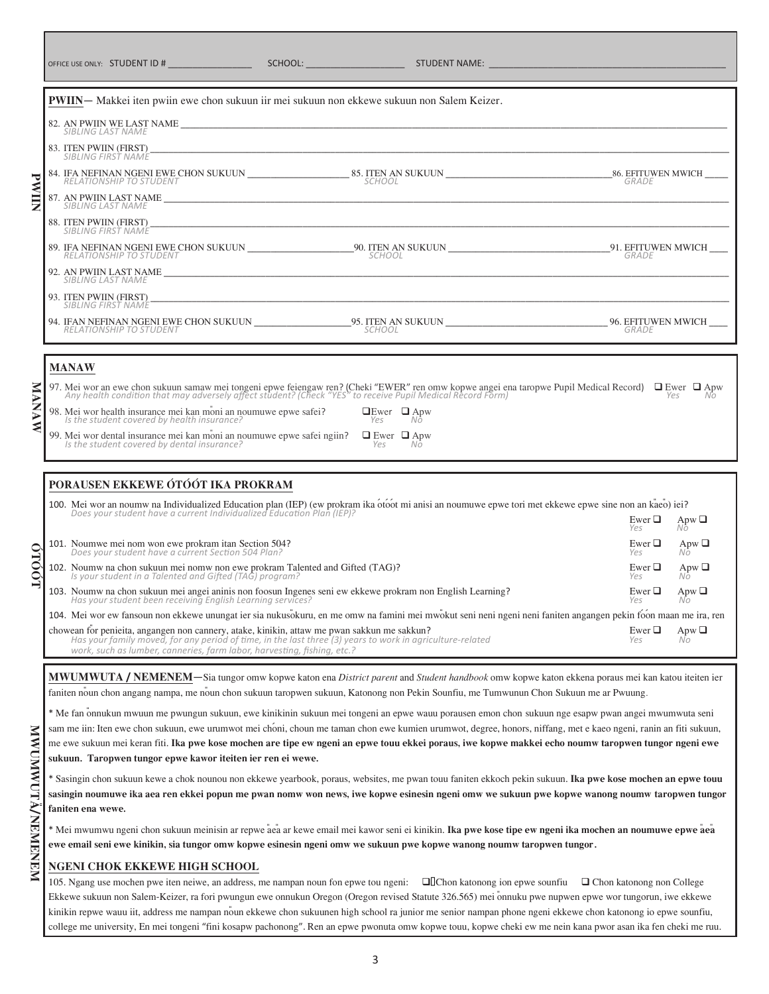| <b>OFFICE USE ONLY:</b> | STUDENT ID # | <b>SCHOOL:</b> | <b>STUDENT NAME:</b> |  |
|-------------------------|--------------|----------------|----------------------|--|
|-------------------------|--------------|----------------|----------------------|--|

|                                                                                                                                                                                                                                   | <b>PWIIN</b> — Makkei iten pwiin ewe chon sukuun iir mei sukuun non ekkewe sukuun non Salem Keizer.                                                                                                                              |                                  |                                        |  |  |
|-----------------------------------------------------------------------------------------------------------------------------------------------------------------------------------------------------------------------------------|----------------------------------------------------------------------------------------------------------------------------------------------------------------------------------------------------------------------------------|----------------------------------|----------------------------------------|--|--|
|                                                                                                                                                                                                                                   |                                                                                                                                                                                                                                  |                                  |                                        |  |  |
|                                                                                                                                                                                                                                   | 83. ITEN PWIIN (FIRST)<br>SIBLING FIRST NAME                                                                                                                                                                                     |                                  |                                        |  |  |
|                                                                                                                                                                                                                                   |                                                                                                                                                                                                                                  |                                  |                                        |  |  |
| <b>PWIIN</b>                                                                                                                                                                                                                      |                                                                                                                                                                                                                                  |                                  |                                        |  |  |
|                                                                                                                                                                                                                                   | 88. ITEN PWIIN (FIRST)<br>SIBLING FIRST NAME                                                                                                                                                                                     |                                  |                                        |  |  |
|                                                                                                                                                                                                                                   |                                                                                                                                                                                                                                  |                                  |                                        |  |  |
|                                                                                                                                                                                                                                   | SIBLING LAST NAME                                                                                                                                                                                                                |                                  |                                        |  |  |
|                                                                                                                                                                                                                                   | 93. ITEN PWIIN (FIRST)<br>SIBLING FIRST NAME                                                                                                                                                                                     |                                  |                                        |  |  |
|                                                                                                                                                                                                                                   | 94. IFAN NEFINAN NGENI EWE CHON SUKUUN _________________95. ITEN AN SUKUUN _____________________________96. EFITUWEN MWICH ____<br>RELATIONSHIP TO STUDENT                                                                       |                                  |                                        |  |  |
|                                                                                                                                                                                                                                   |                                                                                                                                                                                                                                  |                                  |                                        |  |  |
|                                                                                                                                                                                                                                   | <b>MANAW</b>                                                                                                                                                                                                                     |                                  |                                        |  |  |
| 97. Mei wor an ewe chon sukuun samaw mei tongeni epwe feiengaw ren? (Cheki "EWER" ren omw kopwe angei ena taropwe Pupil Medical Record) $\Box$ Ewer $\Box$ Apw Any health condition that may adversely affect student? (Check "YE |                                                                                                                                                                                                                                  |                                  |                                        |  |  |
| <b>MANAW</b>                                                                                                                                                                                                                      | 98. Mei wor health insurance mei kan moni an noumuwe epwe safei?<br>Is the student covered by health insurance?                                                                                                                  | $\Box$ Ewer $\Box$ Apw<br>Yes Nô |                                        |  |  |
|                                                                                                                                                                                                                                   | 99. Mei wor dental insurance mei kan moni an noumuwe epwe safei ngiin? □ Ewer □ Apw<br>Is the student covered by dental insurance?                                                                                               | Yes No                           |                                        |  |  |
|                                                                                                                                                                                                                                   |                                                                                                                                                                                                                                  |                                  |                                        |  |  |
|                                                                                                                                                                                                                                   | PORAUSEN EKKEWE ÓTÓÓT IKA PROKRAM                                                                                                                                                                                                |                                  |                                        |  |  |
|                                                                                                                                                                                                                                   | 100. Mei wor an noumw na Individualized Education plan (IEP) (ew prokram ika otóot mi anisi an noumuwe epwe tori met ekkewe epwe sine non an kaeo) iei?<br>Does your student have a current Individualized Education Plan (IEP)? |                                  | Ewer $\Box$<br>Apw $\Box$<br>Yes<br>Nō |  |  |
|                                                                                                                                                                                                                                   | 101. Noumwe mei nom won ewe prokram itan Section 504?<br>Does your student have a current Section 504 Plan?                                                                                                                      |                                  | Ewer $\Box$<br>Apw $\Box$<br>Nô<br>Yes |  |  |
| <b>0T00T0</b>                                                                                                                                                                                                                     | 102. Noumw na chon sukuun mei nomw non ewe prokram Talented and Gifted (TAG)?<br>Is your student in a Talented and Gifted (TAG) program?                                                                                         |                                  | Ewer $\Box$<br>Apw $\Box$<br>Yes<br>Nō |  |  |
|                                                                                                                                                                                                                                   |                                                                                                                                                                                                                                  |                                  |                                        |  |  |

103. Noumw na chon sukuun mei angei aninis non foosun Ingenes seni ew ekkewe prokram non English Learning?<br>Has your student been receiving English Learning services? 104. Mei wor ew fansoun non ekkewe unungat ier sia nukusokuru, en me omw na famini mei mwokut seni neni ngeni neni faniten angangen pekin foon maan me ira, ren chowean for penieita, angangen non cannery, atake, kinikin, attaw me pwan sakkun me sakkun?<br>Has your family moved, for any period of time, in the last three (3) years to work in agriculture-related  $Y$ es No *Has your student been receiving English Learning services? Yes No Has your family moved, for any period of time, in the last three (3) years to work in agriculture-related Yes No*

**MWUMWUTA / NEMENEM**—Sia tungor omw kopwe katon ena *District parent* and *Student handbook* omw kopwe katon ekkena poraus mei kan katou iteiten ier faniten no<sup>v</sup>un chon angang nampa, me novun chon sukuun taropwen sukuun, Katonong non Pekin Sounfiu, me Tumwunun Chon Sukuun me ar Pwuung.

\* Me fan oÕnnukun mwuun me pwungun sukuun, ewe kinikinin sukuun mei tongeni an epwe wauu porausen emon chon sukuun nge esapw pwan angei mwumwuta seni sam me iin: Iten ewe chon sukuun, ewe urumwot mei choni, choun me taman chon ewe kumien urumwot, degree, honors, niffang, met e kaeo ngeni, ranin an fiti sukuun, me ewe sukuun mei keran fiti. **Ika pwe kose mochen are tipe ew ngeni an epwe touu ekkei poraus, iwe kopwe makkei echo noumw taropwen tungor ngeni ewe sukuun. Taropwen tungor epwe kawor iteiten ier ren ei wewe.**

\* Sasingin chon sukuun kewe a chok nounou non ekkewe yearbook, poraus, websites, me pwan touu faniten ekkoch pekin sukuun. **Ika pwe kose mochen an epwe touu sasingin noumuwe ika aea ren ekkei popun me pwan nomw won news, iwe kopwe esinesin ngeni omw we sukuun pwe kopwe wanong noumw taropwen tungor faniten ena wewe.** 

\* Mei mwumwu ngeni chon sukuun meinisin ar repwe aÕeaÕ ar kewe email mei kawor seni ei kinikin. **Ika pwe kose tipe ew ngeni ika mochen an noumuwe epwe aÕeaÕ ewe email seni ewe kinikin, sia tungor omw kopwe esinesin ngeni omw we sukuun pwe kopwe wanong noumw taropwen tungor.**

#### **NGENI CHOK EKKEWE HIGH SCHOOL**

*work, such as lumber, canneries, farm labor, harvesting, fishing, etc.?*

105. Ngang use mochen pwe iten neiwe, an address, me nampan noun fon epwe tou ngeni: ❑ Chon katonong ion epwe sounfiu ❑ Chon katonong non College Ekkewe sukuun non Salem-Keizer, ra fori pwungun ewe onnukun Oregon (Oregon revised Statute 326.565) mei onnuku pwe nupwen epwe wor tungorun, iwe ekkewe kinikin repwe wauu iit, address me nampan noun ekkewe chon sukuunen high school ra junior me senior nampan phone ngeni ekkewe chon katonong io epwe sounfiu, college me university, En mei tongeni "fini kosapw pachonong". Ren an epwe pwonuta omw kopwe touu, kopwe cheki ew me nein kana pwor asan ika fen cheki me ruu.